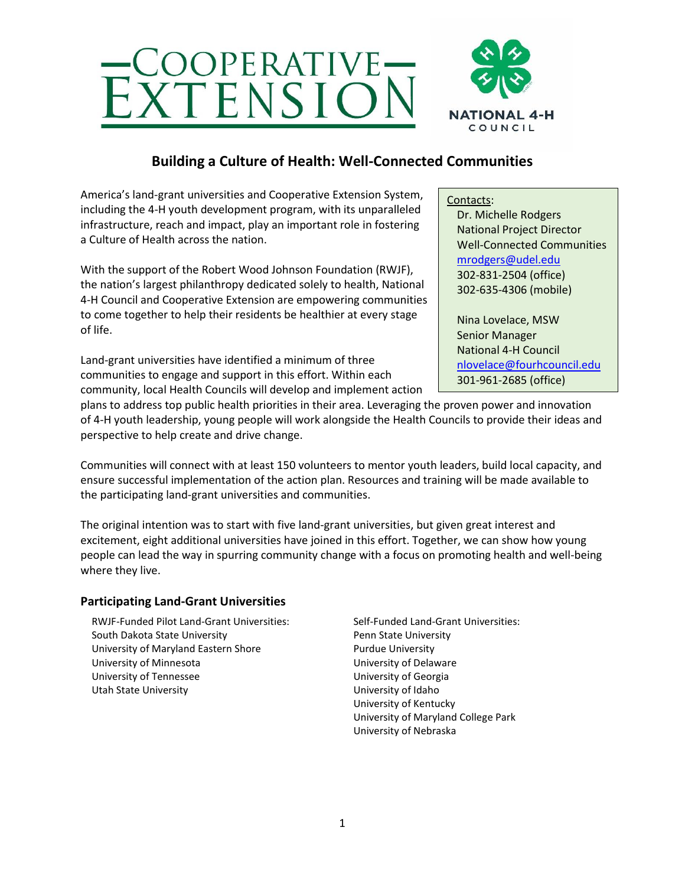



## **Building a Culture of Health: Well-Connected Communities**

America's land-grant universities and Cooperative Extension System, including the 4-H youth development program, with its unparalleled infrastructure, reach and impact, play an important role in fostering a Culture of Health across the nation.

With the support of the Robert Wood Johnson Foundation (RWJF), the nation's largest philanthropy dedicated solely to health, National 4-H Council and Cooperative Extension are empowering communities to come together to help their residents be healthier at every stage of life.

Land-grant universities have identified a minimum of three communities to engage and support in this effort. Within each community, local Health Councils will develop and implement action

plans to address top public health priorities in their area. Leveraging the proven power and innovation of 4-H youth leadership, young people will work alongside the Health Councils to provide their ideas and perspective to help create and drive change.

Communities will connect with at least 150 volunteers to mentor youth leaders, build local capacity, and ensure successful implementation of the action plan. Resources and training will be made available to the participating land-grant universities and communities.

The original intention was to start with five land-grant universities, but given great interest and excitement, eight additional universities have joined in this effort. Together, we can show how young people can lead the way in spurring community change with a focus on promoting health and well-being where they live.

## **Participating Land-Grant Universities**

RWJF-Funded Pilot Land-Grant Universities: South Dakota State University University of Maryland Eastern Shore University of Minnesota University of Tennessee Utah State University

Self-Funded Land-Grant Universities: Penn State University Purdue University University of Delaware University of Georgia University of Idaho University of Kentucky University of Maryland College Park University of Nebraska

Contacts: Dr. Michelle Rodgers National Project Director Well-Connected Communities [mrodgers@udel.edu](mailto:mrodgers@udel.edu) 302-831-2504 (office) 302-635-4306 (mobile)

Nina Lovelace, MSW Senior Manager National 4-H Council [nlovelace@fourhcouncil.edu](mailto:nlovelace@fourhcouncil.edu) 301-961-2685 (office)